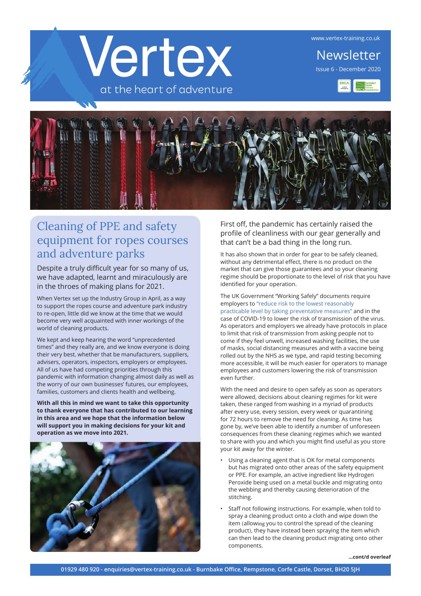www.vertex-training.co.uk



Newsletter Issue 6 - December 2020





## Cleaning of PPE and safety equipment for ropes courses and adventure parks

Despite a truly difficult year for so many of us, we have adapted, learnt and miraculously are in the throes of making plans for 2021.

When Vertex set up the Industry Group in April, as a way to support the ropes course and adventure park industry to re-open, little did we know at the time that we would become very well acquainted with inner workings of the world of cleaning products.

We kept and keep hearing the word "unprecedented times" and they really are, and we know everyone is doing their very best, whether that be manufacturers, suppliers, advisers, operators, inspectors, employers or employees. All of us have had competing priorities through this pandemic with information changing almost daily as well as the worry of our own businesses' futures, our employees, families, customers and clients health and wellbeing.

**With all this in mind we want to take this opportunity to thank everyone that has contributed to our learning in this area and we hope that the information below will support you in making decisions for your kit and operation as we move into 2021.**



First off, the pandemic has certainly raised the profile of cleanliness with our gear generally and that can't be a bad thing in the long run.

It has also shown that in order for gear to be safely cleaned, without any detrimental effect, there is no product on the market that can give those guarantees and so your cleaning regime should be proportionate to the level of risk that you have identified for your operation.

The UK Government "Working Safely" documents require employers to "reduce risk to the lowest reasonably practicable level by taking preventative measures" and in the case of COVID-19 to lower the risk of transmission of the virus. As operators and employers we already have protocols in place to limit that risk of transmission from asking people not to come if they feel unwell, increased washing facilities, the use of masks, social distancing measures and with a vaccine being rolled out by the NHS as we type, and rapid testing becoming more accessible, it will be much easier for operators to manage employees and customers lowering the risk of transmission even further.

With the need and desire to open safely as soon as operators were allowed, decisions about cleaning regimes for kit were taken, these ranged from washing in a myriad of products after every use, every session, every week or quarantining for 72 hours to remove the need for cleaning. As time has gone by, we've been able to identify a number of unforeseen consequences from these cleaning regimes which we wanted to share with you and which you might find useful as you store your kit away for the winter.

- Using a cleaning agent that is OK for metal components but has migrated onto other areas of the safety equipment or PPE. For example, an active ingredient like Hydrogen Peroxide being used on a metal buckle and migrating onto the webbing and thereby causing deterioration of the stitching.
- Staff not following instructions. For example, when told to spray a cleaning product onto a cloth and wipe down the item (allowing you to control the spread of the cleaning product), they have instead been spraying the item which can then lead to the cleaning product migrating onto other components.

**...cont/d overleaf**